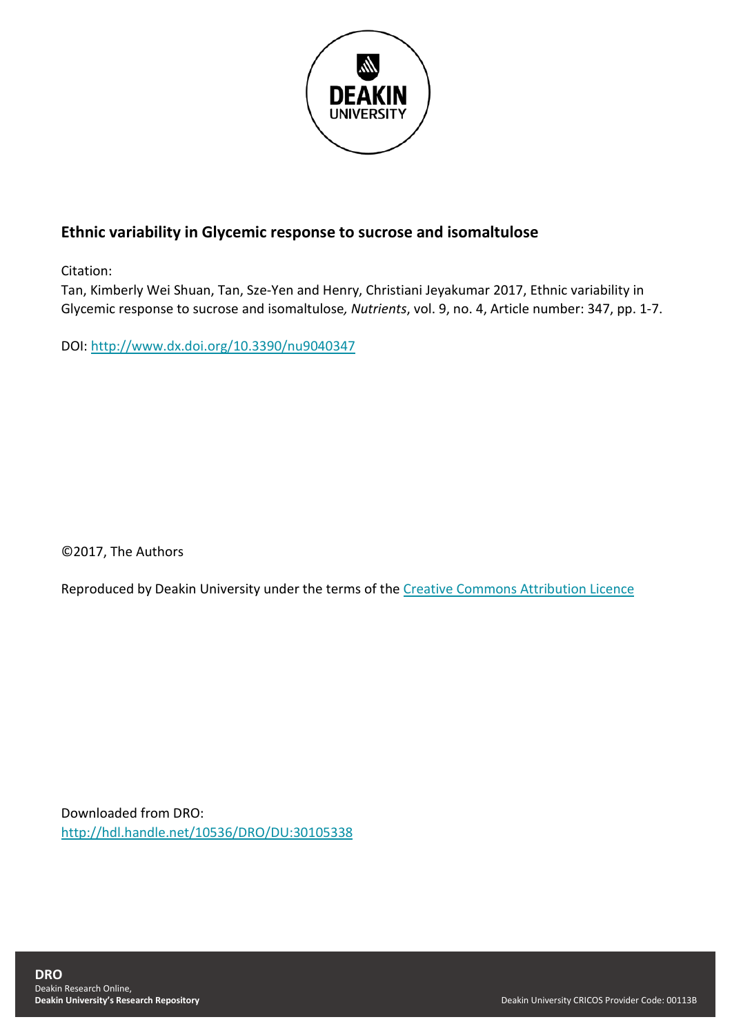

# **Ethnic variability in Glycemic response to sucrose and isomaltulose**

Citation:

Tan, Kimberly Wei Shuan, Tan, Sze-Yen and Henry, Christiani Jeyakumar 2017, Ethnic variability in Glycemic response to sucrose and isomaltulose*, Nutrients*, vol. 9, no. 4, Article number: 347, pp. 1-7.

DOI: <http://www.dx.doi.org/10.3390/nu9040347>

©2017, The Authors

Reproduced by Deakin University under the terms of the [Creative Commons Attribution Licence](https://creativecommons.org/licenses/by/4.0/)

Downloaded from DRO: <http://hdl.handle.net/10536/DRO/DU:30105338>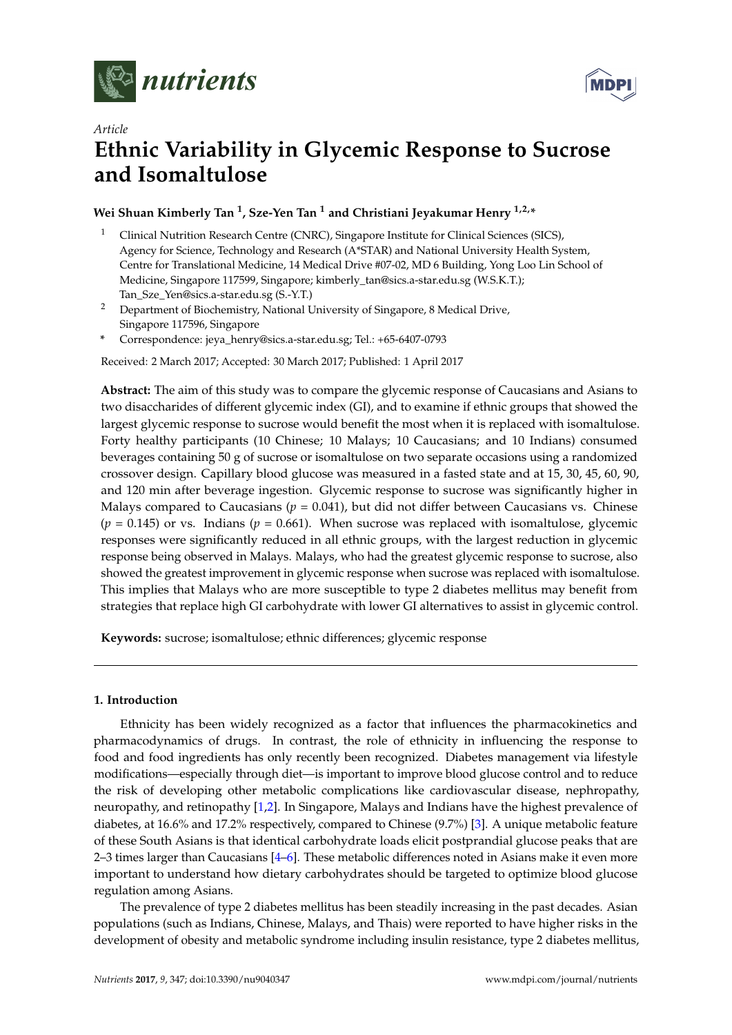



# *Article* **Ethnic Variability in Glycemic Response to Sucrose and Isomaltulose**

# **Wei Shuan Kimberly Tan <sup>1</sup> , Sze-Yen Tan <sup>1</sup> and Christiani Jeyakumar Henry 1,2,\***

- <sup>1</sup> Clinical Nutrition Research Centre (CNRC), Singapore Institute for Clinical Sciences (SICS), Agency for Science, Technology and Research (A\*STAR) and National University Health System, Centre for Translational Medicine, 14 Medical Drive #07-02, MD 6 Building, Yong Loo Lin School of Medicine, Singapore 117599, Singapore; kimberly\_tan@sics.a-star.edu.sg (W.S.K.T.); Tan\_Sze\_Yen@sics.a-star.edu.sg (S.-Y.T.)
- <sup>2</sup> Department of Biochemistry, National University of Singapore, 8 Medical Drive, Singapore 117596, Singapore
- **\*** Correspondence: jeya\_henry@sics.a-star.edu.sg; Tel.: +65-6407-0793

Received: 2 March 2017; Accepted: 30 March 2017; Published: 1 April 2017

**Abstract:** The aim of this study was to compare the glycemic response of Caucasians and Asians to two disaccharides of different glycemic index (GI), and to examine if ethnic groups that showed the largest glycemic response to sucrose would benefit the most when it is replaced with isomaltulose. Forty healthy participants (10 Chinese; 10 Malays; 10 Caucasians; and 10 Indians) consumed beverages containing 50 g of sucrose or isomaltulose on two separate occasions using a randomized crossover design. Capillary blood glucose was measured in a fasted state and at 15, 30, 45, 60, 90, and 120 min after beverage ingestion. Glycemic response to sucrose was significantly higher in Malays compared to Caucasians ( $p = 0.041$ ), but did not differ between Caucasians vs. Chinese  $(p = 0.145)$  or vs. Indians  $(p = 0.661)$ . When sucrose was replaced with isomaltulose, glycemic responses were significantly reduced in all ethnic groups, with the largest reduction in glycemic response being observed in Malays. Malays, who had the greatest glycemic response to sucrose, also showed the greatest improvement in glycemic response when sucrose was replaced with isomaltulose. This implies that Malays who are more susceptible to type 2 diabetes mellitus may benefit from strategies that replace high GI carbohydrate with lower GI alternatives to assist in glycemic control.

**Keywords:** sucrose; isomaltulose; ethnic differences; glycemic response

## **1. Introduction**

Ethnicity has been widely recognized as a factor that influences the pharmacokinetics and pharmacodynamics of drugs. In contrast, the role of ethnicity in influencing the response to food and food ingredients has only recently been recognized. Diabetes management via lifestyle modifications—especially through diet—is important to improve blood glucose control and to reduce the risk of developing other metabolic complications like cardiovascular disease, nephropathy, neuropathy, and retinopathy [\[1](#page-6-0)[,2\]](#page-6-1). In Singapore, Malays and Indians have the highest prevalence of diabetes, at 16.6% and 17.2% respectively, compared to Chinese (9.7%) [\[3\]](#page-6-2). A unique metabolic feature of these South Asians is that identical carbohydrate loads elicit postprandial glucose peaks that are 2–3 times larger than Caucasians [\[4](#page-6-3)[–6\]](#page-6-4). These metabolic differences noted in Asians make it even more important to understand how dietary carbohydrates should be targeted to optimize blood glucose regulation among Asians.

The prevalence of type 2 diabetes mellitus has been steadily increasing in the past decades. Asian populations (such as Indians, Chinese, Malays, and Thais) were reported to have higher risks in the development of obesity and metabolic syndrome including insulin resistance, type 2 diabetes mellitus,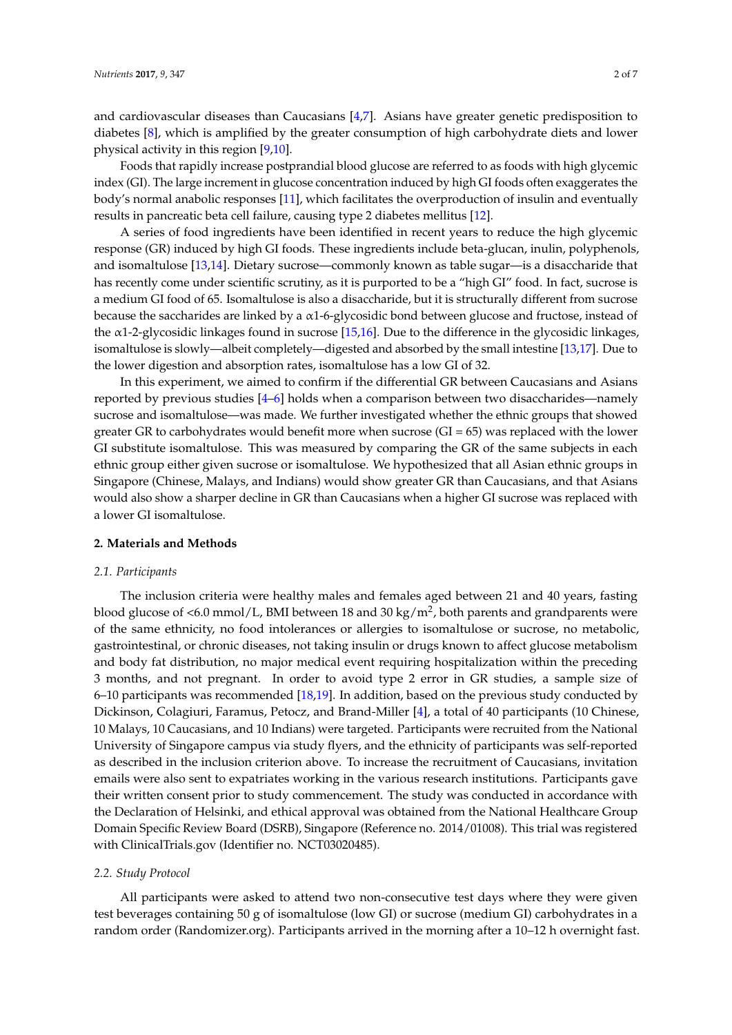and cardiovascular diseases than Caucasians [\[4](#page-6-3)[,7\]](#page-6-5). Asians have greater genetic predisposition to diabetes [\[8\]](#page-7-0), which is amplified by the greater consumption of high carbohydrate diets and lower physical activity in this region [\[9,](#page-7-1)[10\]](#page-7-2).

Foods that rapidly increase postprandial blood glucose are referred to as foods with high glycemic index (GI). The large increment in glucose concentration induced by high GI foods often exaggerates the body's normal anabolic responses [\[11\]](#page-7-3), which facilitates the overproduction of insulin and eventually results in pancreatic beta cell failure, causing type 2 diabetes mellitus [\[12\]](#page-7-4).

A series of food ingredients have been identified in recent years to reduce the high glycemic response (GR) induced by high GI foods. These ingredients include beta-glucan, inulin, polyphenols, and isomaltulose [\[13,](#page-7-5)[14\]](#page-7-6). Dietary sucrose—commonly known as table sugar—is a disaccharide that has recently come under scientific scrutiny, as it is purported to be a "high GI" food. In fact, sucrose is a medium GI food of 65. Isomaltulose is also a disaccharide, but it is structurally different from sucrose because the saccharides are linked by a α1-6-glycosidic bond between glucose and fructose, instead of the  $\alpha$ 1-2-glycosidic linkages found in sucrose [\[15,](#page-7-7)[16\]](#page-7-8). Due to the difference in the glycosidic linkages, isomaltulose is slowly—albeit completely—digested and absorbed by the small intestine [\[13,](#page-7-5)[17\]](#page-7-9). Due to the lower digestion and absorption rates, isomaltulose has a low GI of 32.

In this experiment, we aimed to confirm if the differential GR between Caucasians and Asians reported by previous studies [\[4–](#page-6-3)[6\]](#page-6-4) holds when a comparison between two disaccharides—namely sucrose and isomaltulose—was made. We further investigated whether the ethnic groups that showed greater GR to carbohydrates would benefit more when sucrose  $(GI = 65)$  was replaced with the lower GI substitute isomaltulose. This was measured by comparing the GR of the same subjects in each ethnic group either given sucrose or isomaltulose. We hypothesized that all Asian ethnic groups in Singapore (Chinese, Malays, and Indians) would show greater GR than Caucasians, and that Asians would also show a sharper decline in GR than Caucasians when a higher GI sucrose was replaced with a lower GI isomaltulose.

### **2. Materials and Methods**

#### *2.1. Participants*

The inclusion criteria were healthy males and females aged between 21 and 40 years, fasting blood glucose of <6.0 mmol/L, BMI between 18 and 30 kg/m<sup>2</sup>, both parents and grandparents were of the same ethnicity, no food intolerances or allergies to isomaltulose or sucrose, no metabolic, gastrointestinal, or chronic diseases, not taking insulin or drugs known to affect glucose metabolism and body fat distribution, no major medical event requiring hospitalization within the preceding 3 months, and not pregnant. In order to avoid type 2 error in GR studies, a sample size of 6–10 participants was recommended [\[18](#page-7-10)[,19\]](#page-7-11). In addition, based on the previous study conducted by Dickinson, Colagiuri, Faramus, Petocz, and Brand-Miller [\[4\]](#page-6-3), a total of 40 participants (10 Chinese, 10 Malays, 10 Caucasians, and 10 Indians) were targeted. Participants were recruited from the National University of Singapore campus via study flyers, and the ethnicity of participants was self-reported as described in the inclusion criterion above. To increase the recruitment of Caucasians, invitation emails were also sent to expatriates working in the various research institutions. Participants gave their written consent prior to study commencement. The study was conducted in accordance with the Declaration of Helsinki, and ethical approval was obtained from the National Healthcare Group Domain Specific Review Board (DSRB), Singapore (Reference no. 2014/01008). This trial was registered with ClinicalTrials.gov (Identifier no. NCT03020485).

#### *2.2. Study Protocol*

All participants were asked to attend two non-consecutive test days where they were given test beverages containing 50 g of isomaltulose (low GI) or sucrose (medium GI) carbohydrates in a random order (Randomizer.org). Participants arrived in the morning after a 10–12 h overnight fast.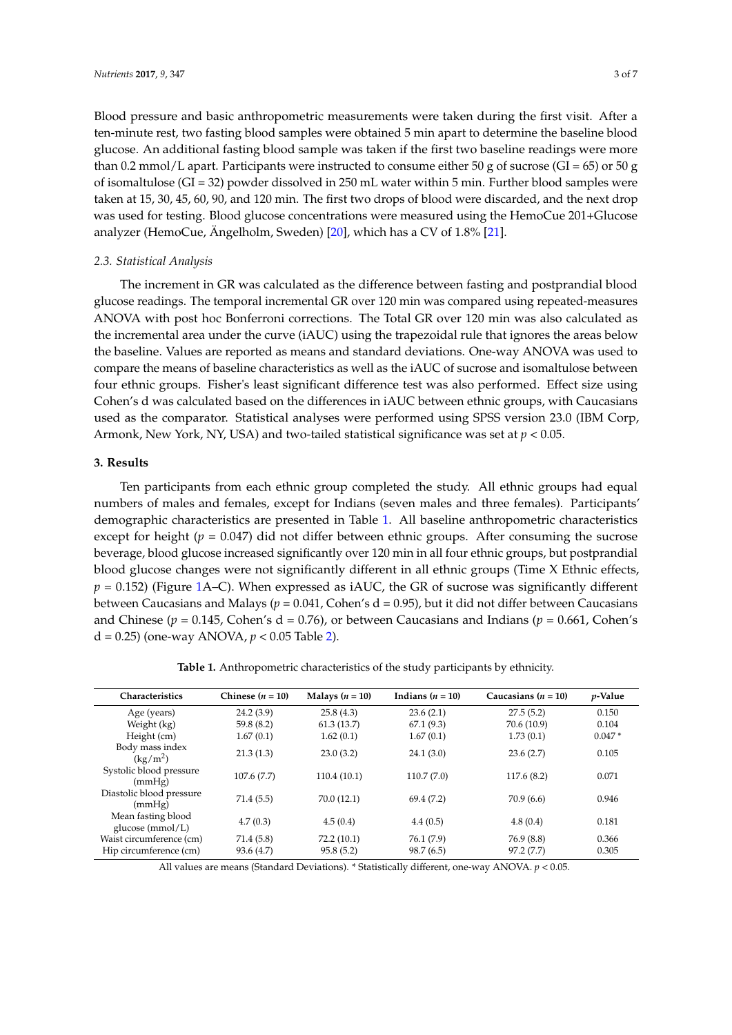Blood pressure and basic anthropometric measurements were taken during the first visit. After a ten-minute rest, two fasting blood samples were obtained 5 min apart to determine the baseline blood glucose. An additional fasting blood sample was taken if the first two baseline readings were more than 0.2 mmol/L apart. Participants were instructed to consume either 50 g of sucrose (GI =  $65$ ) or 50 g of isomaltulose (GI = 32) powder dissolved in 250 mL water within 5 min. Further blood samples were taken at 15, 30, 45, 60, 90, and 120 min. The first two drops of blood were discarded, and the next drop was used for testing. Blood glucose concentrations were measured using the HemoCue 201+Glucose analyzer (HemoCue, Ängelholm, Sweden) [\[20\]](#page-7-12), which has a CV of 1.8% [\[21\]](#page-7-13).

#### *2.3. Statistical Analysis*

The increment in GR was calculated as the difference between fasting and postprandial blood glucose readings. The temporal incremental GR over 120 min was compared using repeated-measures ANOVA with post hoc Bonferroni corrections. The Total GR over 120 min was also calculated as the incremental area under the curve (iAUC) using the trapezoidal rule that ignores the areas below the baseline. Values are reported as means and standard deviations. One-way ANOVA was used to compare the means of baseline characteristics as well as the iAUC of sucrose and isomaltulose between four ethnic groups. Fisher's least significant difference test was also performed. Effect size using Cohen's d was calculated based on the differences in iAUC between ethnic groups, with Caucasians used as the comparator. Statistical analyses were performed using SPSS version 23.0 (IBM Corp, Armonk, New York, NY, USA) and two-tailed statistical significance was set at *p* < 0.05.

### **3. Results**

Ten participants from each ethnic group completed the study. All ethnic groups had equal numbers of males and females, except for Indians (seven males and three females). Participants' demographic characteristics are presented in Table [1.](#page-3-0) All baseline anthropometric characteristics except for height ( $p = 0.047$ ) did not differ between ethnic groups. After consuming the sucrose beverage, blood glucose increased significantly over 120 min in all four ethnic groups, but postprandial blood glucose changes were not significantly different in all ethnic groups (Time X Ethnic effects,  $p = 0.152$ ) (Figure [1A](#page-4-0)–C). When expressed as iAUC, the GR of sucrose was significantly different between Caucasians and Malays (*p* = 0.041, Cohen's d = 0.95), but it did not differ between Caucasians and Chinese ( $p = 0.145$ , Cohen's d = 0.76), or between Caucasians and Indians ( $p = 0.661$ , Cohen's d = 0.25) (one-way ANOVA, *p* < 0.05 Table [2\)](#page-5-0).

**Table 1.** Anthropometric characteristics of the study participants by ethnicity.

<span id="page-3-0"></span>

| Chinese $(n = 10)$ | Malays $(n = 10)$ | Indians $(n = 10)$ | Caucasians $(n = 10)$ | $p$ -Value |
|--------------------|-------------------|--------------------|-----------------------|------------|
| 24.2(3.9)          | 25.8(4.3)         | 23.6(2.1)          | 27.5(5.2)             | 0.150      |
| 59.8(8.2)          | 61.3(13.7)        | 67.1(9.3)          | 70.6 (10.9)           | 0.104      |
| 1.67(0.1)          | 1.62(0.1)         | 1.67(0.1)          | 1.73(0.1)             | $0.047*$   |
| 21.3(1.3)          | 23.0(3.2)         | 24.1(3.0)          | 23.6(2.7)             | 0.105      |
| 107.6(7.7)         | 110.4(10.1)       | 110.7(7.0)         | 117.6(8.2)            | 0.071      |
| 71.4(5.5)          | 70.0(12.1)        | 69.4 (7.2)         | 70.9(6.6)             | 0.946      |
| 4.7(0.3)           | 4.5(0.4)          | 4.4(0.5)           | 4.8(0.4)              | 0.181      |
| 71.4(5.8)          | 72.2(10.1)        | 76.1 (7.9)         | 76.9 (8.8)            | 0.366      |
| 93.6(4.7)          | 95.8(5.2)         | 98.7(6.5)          | 97.2(7.7)             | 0.305      |
|                    |                   |                    |                       |            |

All values are means (Standard Deviations). \* Statistically different, one-way ANOVA. *p* < 0.05.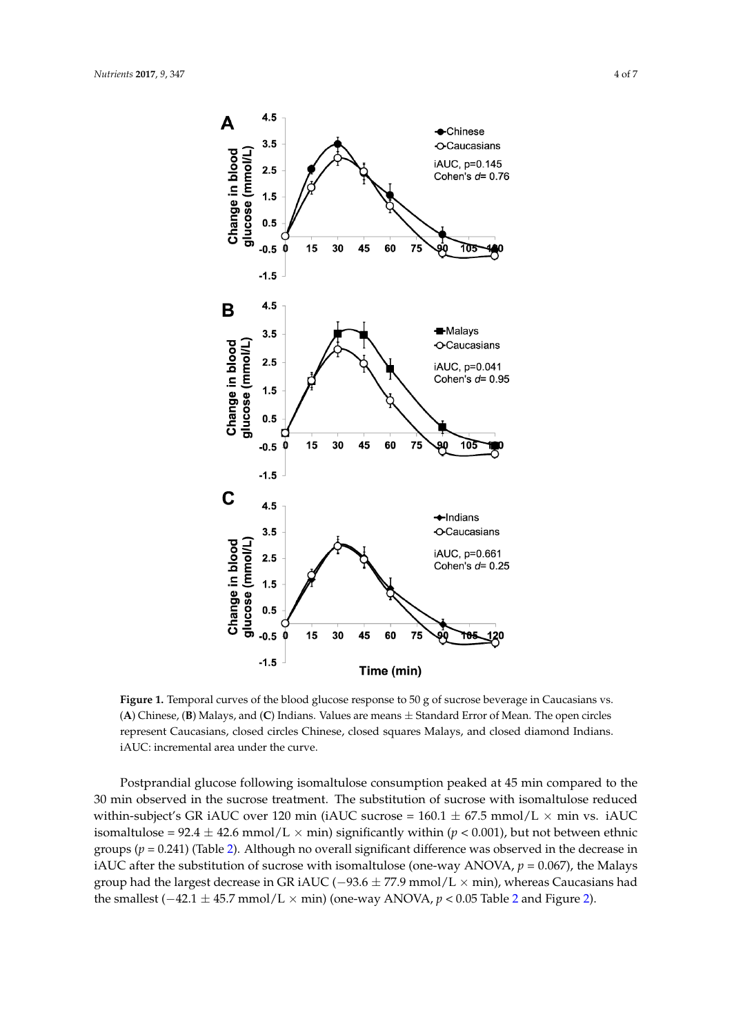<span id="page-4-0"></span>

**Figure 1.** Temporal curves of the blood glucose response to 50 g of sucrose beverage in **Figure 1.** Temporal curves of the blood glucose response to 50 g of sucrose beverage in Caucasians vs. (A) Chinese, (B) Malays, and (C) Indians. Values are means  $\pm$  Standard Error of Mean. The open circles represent Caucasians, closed circles Chinese, closed squares Malays, and closed diamond Indians. iAUC: incremental area under the curve.

Postprandial glucose following isomaltulose consumption peaked at 45 min compared to Postprandial glucose following isomaltulose consumption peaked at 45 min compared to the <sup>1</sup><br>30 min observed in the sucrose treatment. The substitution of sucrose with isomaltulose reduced within-subject's GR iAUC over 120 min (iAUC sucrose  $= 160.1 \pm 67.5$  mmol/L  $\times$  min vs. iAUC  $\frac{1}{2}$   $\frac{1}{2}$   $\frac{1}{2}$   $\frac{1}{2}$   $\frac{1}{2}$   $\frac{1}{2}$   $\frac{1}{2}$   $\frac{1}{2}$   $\frac{1}{2}$   $\frac{1}{2}$   $\frac{1}{2}$   $\frac{1}{2}$   $\frac{1}{2}$   $\frac{1}{2}$   $\frac{1}{2}$   $\frac{1}{2}$   $\frac{1}{2}$   $\frac{1}{2}$   $\frac{1}{2}$   $\frac{1}{2}$   $\frac{1}{2}$   $\frac{1}{2}$  isomaltulose =  $92.4 \pm 42.6$  mmol/L × min) significantly within (*p* < 0.001), but not between ethnic groups (*p* = 0.241) (Table [2\)](#page-5-0). Although no overall significant difference was observed in the decrease in iAUC after the substitution of sucrose with isomaltulose (one-way ANOVA,  $p = 0.067$ ), the Malays group had the largest decrease in GR iAUC (−93.6  $\pm$  77.9 mmol/L  $\times$  min), whereas Caucasians had the smallest  $(-42.1 \pm 45.7 \text{ mmol/L} \times \text{min})$  $(-42.1 \pm 45.7 \text{ mmol/L} \times \text{min})$  $(-42.1 \pm 45.7 \text{ mmol/L} \times \text{min})$  (one-way ANOVA,  $p < 0.05$  Table 2 and Figure [2\)](#page-5-1).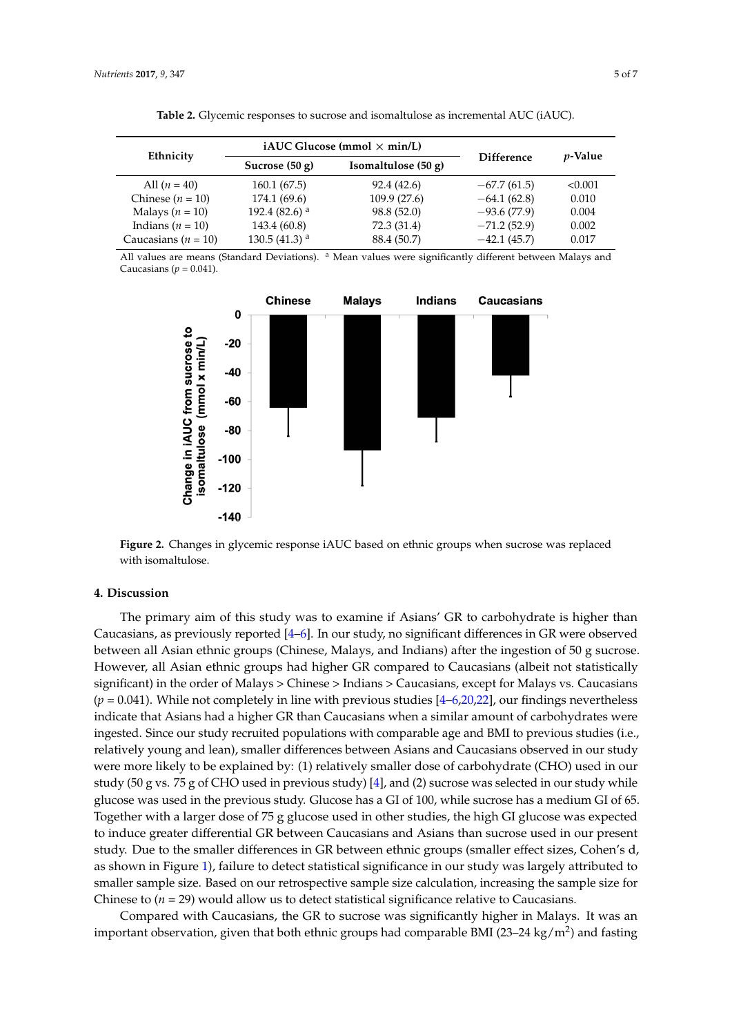<span id="page-5-0"></span>

| Ethnicity               |                           | iAUC Glucose (mmol $\times$ min/L) |                   | <i>p</i> -Value |
|-------------------------|---------------------------|------------------------------------|-------------------|-----------------|
|                         | Sucrose $(50 g)$          | Isomaltulose $(50 g)$              | <b>Difference</b> |                 |
| All $(n = 40)$          | 160.1 (67.5)              | 92.4(42.6)                         | $-67.7(61.5)$     | < 0.001         |
| Chinese $(n = 10)$      | 174.1(69.6)               | 109.9(27.6)                        | $-64.1(62.8)$     | 0.010           |
| Malays ( $n = 10$ )     | 192.4 (82.6) <sup>a</sup> | 98.8 (52.0)                        | $-93.6(77.9)$     | 0.004           |
| Indians ( $n = 10$ )    | 143.4 (60.8)              | 72.3 (31.4)                        | $-71.2(52.9)$     | 0.002           |
| Caucasians ( $n = 10$ ) | 130.5 (41.3) $^{\rm a}$   | 88.4 (50.7)                        | $-42.1(45.7)$     | 0.017           |

**Table 2.** Glycemic responses to sucrose and isomaltulose as incremental AUC (iAUC).

<span id="page-5-1"></span>All values are means (Standard Deviations). <sup>a</sup> Mean values were significantly different between Malays and Caucasians  $(p = 0.041)$ .



**Figure 2.** Changes in glycemic response iAUC based on ethnic groups when sucrose was replaced **Figure 2.** Changes in glycemic response iAUC based on ethnic groups when sucrose was replaced with isomaltulose. with isomaltulose.

# **4. Discussion 4. Discussion**

 $T_{\text{max}}$  and primary aim of this study was to examine if  $\overline{A}$ The primary aim of this study was to examine if Asians' GR to carbohydrate is higher than Caucasians, as previously reported  $[4-6]$  $[4-6]$ . In our study, no significant differences in GR were observed between all Asian ethnic groups (Chinese, Malays, and Indians) after the ingestion of 50 g sucrose. However, all Asian ethnic groups had higher GR compared to Caucasians (albeit not statistically significant) in the order of Malays > Chinese > Indians > Caucasians*,* except for Malays vs. Caucasians  $(p = 0.041)$ . While not completely in line with previous studies [ $4-6,20,22$  $4-6,20,22$  $4-6,20,22$  $4-6,20,22$ ], our findings nevertheless indicate that Asians had a higher GR than Caucasians when a similar amount of carbohydrates were ingested. Since our study recruited populations with comparable age and BMI to previous studies (i.e., relatively young and lean), smaller differences between Asians and Caucasians observed in our study were more likely to be explained by: (1) relatively smaller dose of carbohydrate (CHO) used in our study (50 g vs. 75 g of CHO used in previous study) [\[4\]](#page-6-3), and (2) sucrose was selected in our study while glucose was used in the previous study. Glucose has a GI of 100, while sucrose has a medium GI of 65.  $\check{\rm{g}}$  Together with a larger dose of 75 g glucose used in other studies, the high GI glucose was expected to induce greater differential GR between Caucasians and Asians than sucrose used in our present study. Due to the smaller differences in GR between ethnic groups (smaller effect sizes, Cohen's d, largely attributed to smaller sample size calculation on our retrospective sample size calculation,  $\mathbb{R}^n$ as shown in Figure [1\)](#page-4-0), failure to detect statistical significance in our study was largely attributed to smaller sample size. Based on our retrospective sample size calculation, increasing the sample size for Chinese to  $(n = 29)$  would allow us to detect statistical significance relative to Caucasians.

Compared with Caucasians, the GR to sucrose was significantly higher in Malays. It was an important observation, given that both ethnic groups had comparable BMI (23–24 kg/m<sup>2</sup>) and fasting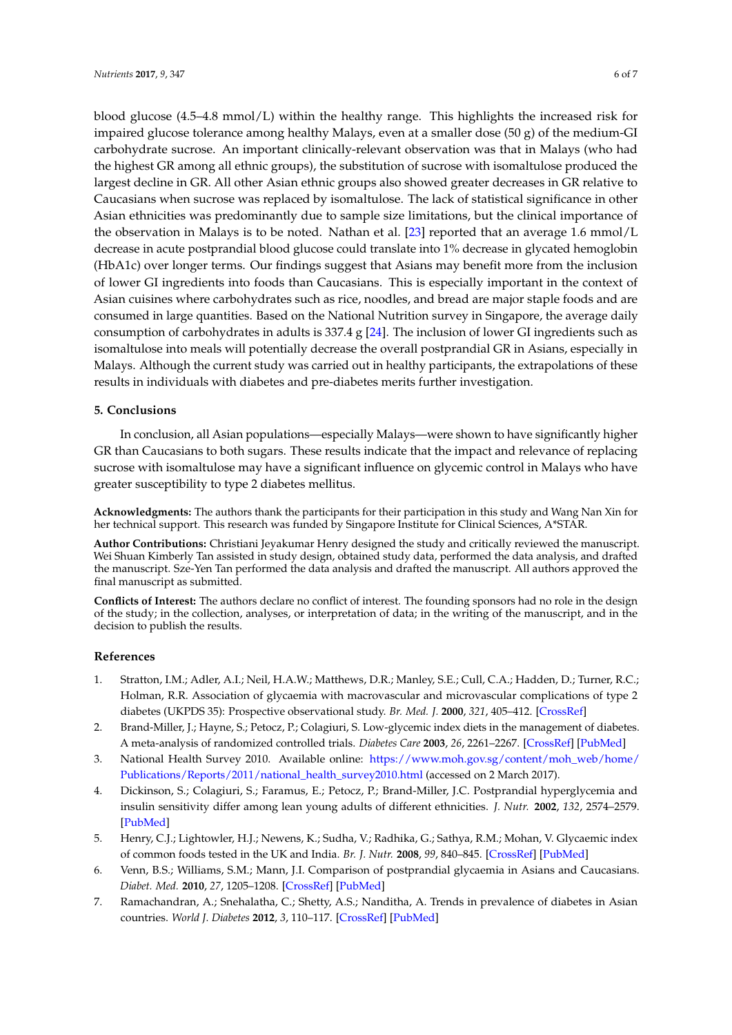blood glucose  $(4.5-4.8 \text{ mmol/L})$  within the healthy range. This highlights the increased risk for impaired glucose tolerance among healthy Malays, even at a smaller dose  $(50 g)$  of the medium-GI carbohydrate sucrose. An important clinically-relevant observation was that in Malays (who had the highest GR among all ethnic groups), the substitution of sucrose with isomaltulose produced the largest decline in GR. All other Asian ethnic groups also showed greater decreases in GR relative to Caucasians when sucrose was replaced by isomaltulose. The lack of statistical significance in other Asian ethnicities was predominantly due to sample size limitations, but the clinical importance of the observation in Malays is to be noted. Nathan et al. [\[23\]](#page-7-15) reported that an average 1.6 mmol/L decrease in acute postprandial blood glucose could translate into 1% decrease in glycated hemoglobin (HbA1c) over longer terms. Our findings suggest that Asians may benefit more from the inclusion of lower GI ingredients into foods than Caucasians. This is especially important in the context of Asian cuisines where carbohydrates such as rice, noodles, and bread are major staple foods and are consumed in large quantities. Based on the National Nutrition survey in Singapore, the average daily consumption of carbohydrates in adults is 337.4 g [\[24\]](#page-7-16). The inclusion of lower GI ingredients such as isomaltulose into meals will potentially decrease the overall postprandial GR in Asians, especially in Malays. Although the current study was carried out in healthy participants, the extrapolations of these results in individuals with diabetes and pre-diabetes merits further investigation.

### **5. Conclusions**

In conclusion, all Asian populations—especially Malays—were shown to have significantly higher GR than Caucasians to both sugars. These results indicate that the impact and relevance of replacing sucrose with isomaltulose may have a significant influence on glycemic control in Malays who have greater susceptibility to type 2 diabetes mellitus.

**Acknowledgments:** The authors thank the participants for their participation in this study and Wang Nan Xin for her technical support. This research was funded by Singapore Institute for Clinical Sciences, A\*STAR.

**Author Contributions:** Christiani Jeyakumar Henry designed the study and critically reviewed the manuscript. Wei Shuan Kimberly Tan assisted in study design, obtained study data, performed the data analysis, and drafted the manuscript. Sze-Yen Tan performed the data analysis and drafted the manuscript. All authors approved the final manuscript as submitted.

**Conflicts of Interest:** The authors declare no conflict of interest. The founding sponsors had no role in the design of the study; in the collection, analyses, or interpretation of data; in the writing of the manuscript, and in the decision to publish the results.

### **References**

- <span id="page-6-0"></span>1. Stratton, I.M.; Adler, A.I.; Neil, H.A.W.; Matthews, D.R.; Manley, S.E.; Cull, C.A.; Hadden, D.; Turner, R.C.; Holman, R.R. Association of glycaemia with macrovascular and microvascular complications of type 2 diabetes (UKPDS 35): Prospective observational study. *Br. Med. J.* **2000**, *321*, 405–412. [\[CrossRef\]](http://dx.doi.org/10.1136/bmj.321.7258.405)
- <span id="page-6-1"></span>2. Brand-Miller, J.; Hayne, S.; Petocz, P.; Colagiuri, S. Low-glycemic index diets in the management of diabetes. A meta-analysis of randomized controlled trials. *Diabetes Care* **2003**, *26*, 2261–2267. [\[CrossRef\]](http://dx.doi.org/10.2337/diacare.26.8.2261) [\[PubMed\]](http://www.ncbi.nlm.nih.gov/pubmed/12882846)
- <span id="page-6-2"></span>3. National Health Survey 2010. Available online: [https://www.moh.gov.sg/content/moh\\_web/home/](https://www.moh.gov.sg/content/moh_web/home/Publications/Reports/2011/national_health_survey2010.html) [Publications/Reports/2011/national\\_health\\_survey2010.html](https://www.moh.gov.sg/content/moh_web/home/Publications/Reports/2011/national_health_survey2010.html) (accessed on 2 March 2017).
- <span id="page-6-3"></span>4. Dickinson, S.; Colagiuri, S.; Faramus, E.; Petocz, P.; Brand-Miller, J.C. Postprandial hyperglycemia and insulin sensitivity differ among lean young adults of different ethnicities. *J. Nutr.* **2002**, *132*, 2574–2579. [\[PubMed\]](http://www.ncbi.nlm.nih.gov/pubmed/12221211)
- 5. Henry, C.J.; Lightowler, H.J.; Newens, K.; Sudha, V.; Radhika, G.; Sathya, R.M.; Mohan, V. Glycaemic index of common foods tested in the UK and India. *Br. J. Nutr.* **2008**, *99*, 840–845. [\[CrossRef\]](http://dx.doi.org/10.1017/S0007114507831801) [\[PubMed\]](http://www.ncbi.nlm.nih.gov/pubmed/17903341)
- <span id="page-6-4"></span>6. Venn, B.S.; Williams, S.M.; Mann, J.I. Comparison of postprandial glycaemia in Asians and Caucasians. *Diabet. Med.* **2010**, *27*, 1205–1208. [\[CrossRef\]](http://dx.doi.org/10.1111/j.1464-5491.2010.03069.x) [\[PubMed\]](http://www.ncbi.nlm.nih.gov/pubmed/20873364)
- <span id="page-6-5"></span>7. Ramachandran, A.; Snehalatha, C.; Shetty, A.S.; Nanditha, A. Trends in prevalence of diabetes in Asian countries. *World J. Diabetes* **2012**, *3*, 110–117. [\[CrossRef\]](http://dx.doi.org/10.4239/wjd.v3.i6.110) [\[PubMed\]](http://www.ncbi.nlm.nih.gov/pubmed/22737281)